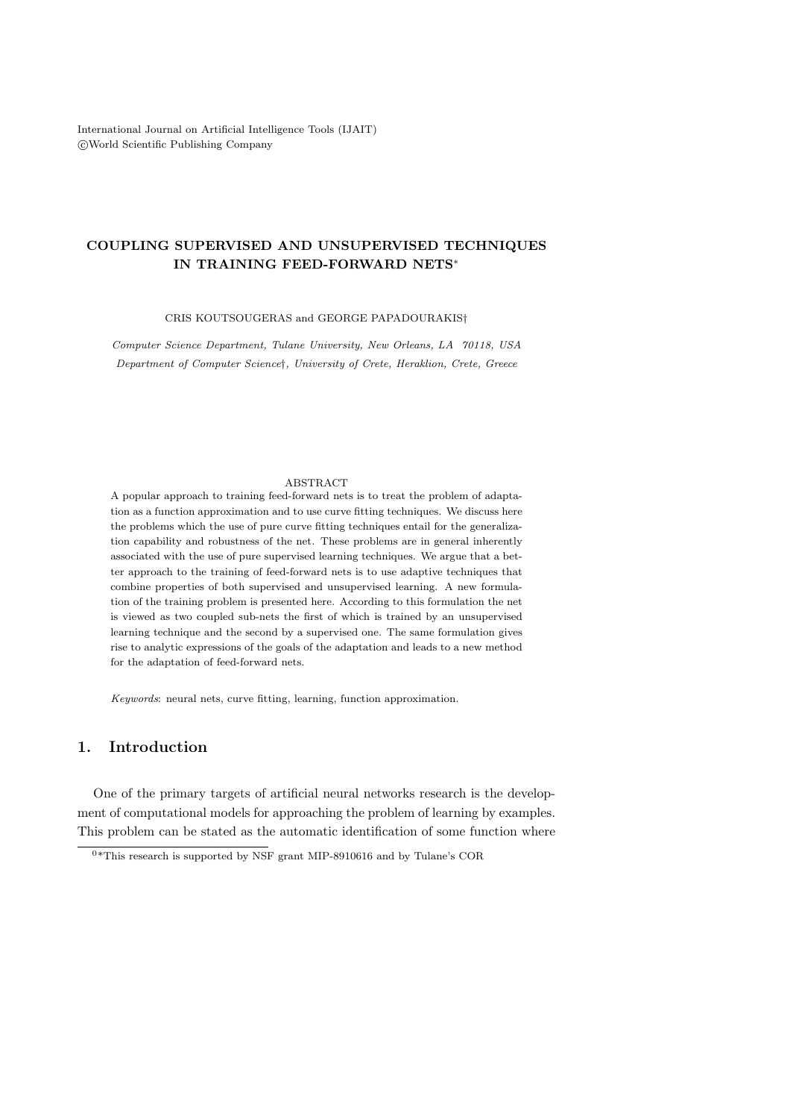International Journal on Artificial Intelligence Tools (IJAIT) °c World Scientific Publishing Company

# COUPLING SUPERVISED AND UNSUPERVISED TECHNIQUES IN TRAINING FEED-FORWARD NETS<sup>∗</sup>

CRIS KOUTSOUGERAS and GEORGE PAPADOURAKIS†

Computer Science Department, Tulane University, New Orleans, LA 70118, USA Department of Computer Science†, University of Crete, Heraklion, Crete, Greece

#### ABSTRACT

A popular approach to training feed-forward nets is to treat the problem of adaptation as a function approximation and to use curve fitting techniques. We discuss here the problems which the use of pure curve fitting techniques entail for the generalization capability and robustness of the net. These problems are in general inherently associated with the use of pure supervised learning techniques. We argue that a better approach to the training of feed-forward nets is to use adaptive techniques that combine properties of both supervised and unsupervised learning. A new formulation of the training problem is presented here. According to this formulation the net is viewed as two coupled sub-nets the first of which is trained by an unsupervised learning technique and the second by a supervised one. The same formulation gives rise to analytic expressions of the goals of the adaptation and leads to a new method for the adaptation of feed-forward nets.

Keywords: neural nets, curve fitting, learning, function approximation.

# 1. Introduction

One of the primary targets of artificial neural networks research is the development of computational models for approaching the problem of learning by examples. This problem can be stated as the automatic identification of some function where

 $0*$ This research is supported by NSF grant MIP-8910616 and by Tulane's COR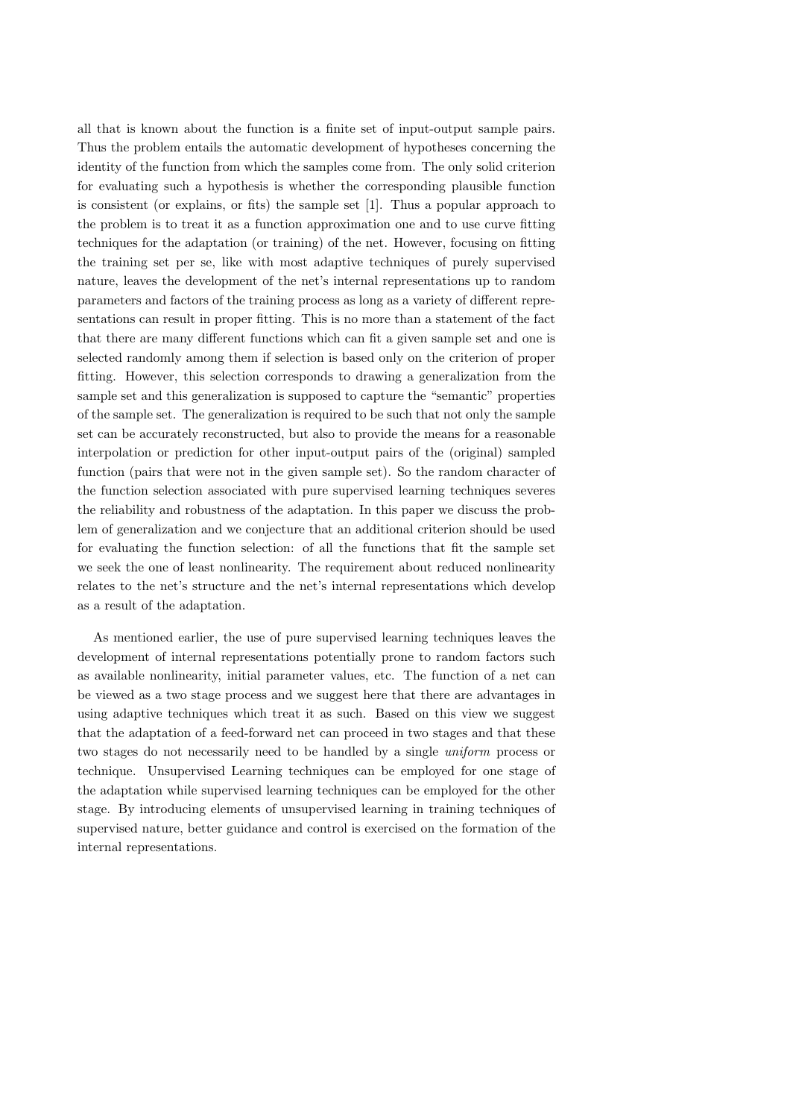all that is known about the function is a finite set of input-output sample pairs. Thus the problem entails the automatic development of hypotheses concerning the identity of the function from which the samples come from. The only solid criterion for evaluating such a hypothesis is whether the corresponding plausible function is consistent (or explains, or fits) the sample set [1]. Thus a popular approach to the problem is to treat it as a function approximation one and to use curve fitting techniques for the adaptation (or training) of the net. However, focusing on fitting the training set per se, like with most adaptive techniques of purely supervised nature, leaves the development of the net's internal representations up to random parameters and factors of the training process as long as a variety of different representations can result in proper fitting. This is no more than a statement of the fact that there are many different functions which can fit a given sample set and one is selected randomly among them if selection is based only on the criterion of proper fitting. However, this selection corresponds to drawing a generalization from the sample set and this generalization is supposed to capture the "semantic" properties of the sample set. The generalization is required to be such that not only the sample set can be accurately reconstructed, but also to provide the means for a reasonable interpolation or prediction for other input-output pairs of the (original) sampled function (pairs that were not in the given sample set). So the random character of the function selection associated with pure supervised learning techniques severes the reliability and robustness of the adaptation. In this paper we discuss the problem of generalization and we conjecture that an additional criterion should be used for evaluating the function selection: of all the functions that fit the sample set we seek the one of least nonlinearity. The requirement about reduced nonlinearity relates to the net's structure and the net's internal representations which develop as a result of the adaptation.

As mentioned earlier, the use of pure supervised learning techniques leaves the development of internal representations potentially prone to random factors such as available nonlinearity, initial parameter values, etc. The function of a net can be viewed as a two stage process and we suggest here that there are advantages in using adaptive techniques which treat it as such. Based on this view we suggest that the adaptation of a feed-forward net can proceed in two stages and that these two stages do not necessarily need to be handled by a single uniform process or technique. Unsupervised Learning techniques can be employed for one stage of the adaptation while supervised learning techniques can be employed for the other stage. By introducing elements of unsupervised learning in training techniques of supervised nature, better guidance and control is exercised on the formation of the internal representations.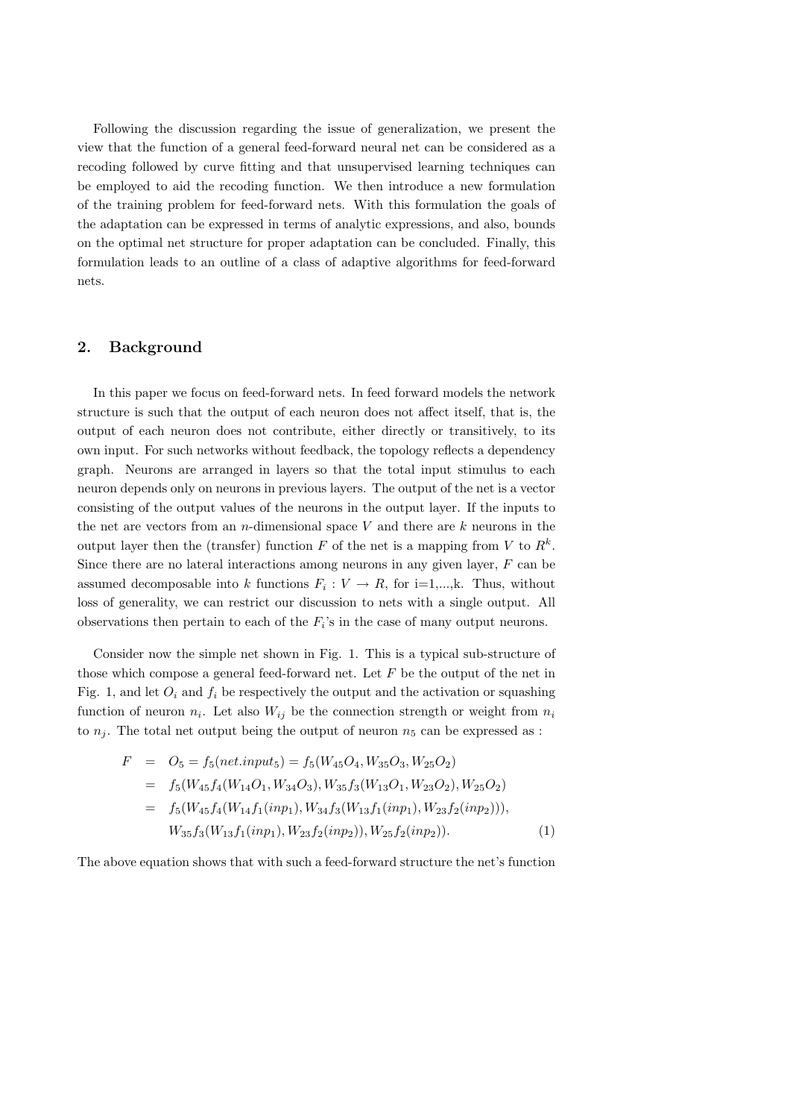Following the discussion regarding the issue of generalization, we present the view that the function of a general feed-forward neural net can be considered as a recoding followed by curve fitting and that unsupervised learning techniques can be employed to aid the recoding function. We then introduce a new formulation of the training problem for feed-forward nets. With this formulation the goals of the adaptation can be expressed in terms of analytic expressions, and also, bounds on the optimal net structure for proper adaptation can be concluded. Finally, this formulation leads to an outline of a class of adaptive algorithms for feed-forward nets.

## 2. Background

In this paper we focus on feed-forward nets. In feed forward models the network structure is such that the output of each neuron does not affect itself, that is, the output of each neuron does not contribute, either directly or transitively, to its own input. For such networks without feedback, the topology reflects a dependency graph. Neurons are arranged in layers so that the total input stimulus to each neuron depends only on neurons in previous layers. The output of the net is a vector consisting of the output values of the neurons in the output layer. If the inputs to the net are vectors from an  $n$ -dimensional space V and there are k neurons in the output layer then the (transfer) function F of the net is a mapping from V to  $R^k$ . Since there are no lateral interactions among neurons in any given layer,  $F$  can be assumed decomposable into k functions  $F_i: V \to R$ , for i=1,...,k. Thus, without loss of generality, we can restrict our discussion to nets with a single output. All observations then pertain to each of the  $F_i$ 's in the case of many output neurons.

Consider now the simple net shown in Fig. 1. This is a typical sub-structure of those which compose a general feed-forward net. Let  $F$  be the output of the net in Fig. 1, and let  $O_i$  and  $f_i$  be respectively the output and the activation or squashing function of neuron  $n_i$ . Let also  $W_{ij}$  be the connection strength or weight from  $n_i$ to  $n_i$ . The total net output being the output of neuron  $n_5$  can be expressed as :

$$
F = O_5 = f_5(net. input_5) = f_5(W_{45}O_4, W_{35}O_3, W_{25}O_2)
$$
  
=  $f_5(W_{45}f_4(W_{14}O_1, W_{34}O_3), W_{35}f_3(W_{13}O_1, W_{23}O_2), W_{25}O_2)$   
=  $f_5(W_{45}f_4(W_{14}f_1(inp_1), W_{34}f_3(W_{13}f_1(inp_1), W_{23}f_2(inp_2))),$   
 $W_{35}f_3(W_{13}f_1(inp_1), W_{23}f_2(inp_2)), W_{25}f_2(inp_2)).$  (1)

The above equation shows that with such a feed-forward structure the net's function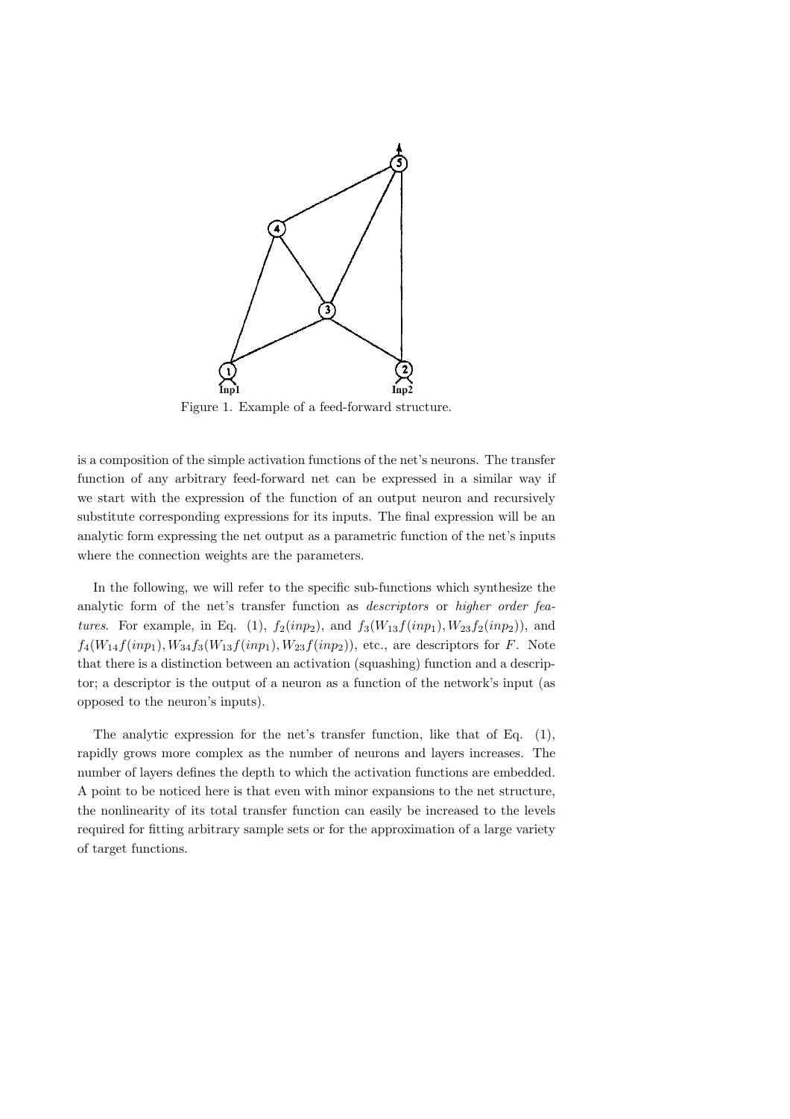

Figure 1. Example of a feed-forward structure.

is a composition of the simple activation functions of the net's neurons. The transfer function of any arbitrary feed-forward net can be expressed in a similar way if we start with the expression of the function of an output neuron and recursively substitute corresponding expressions for its inputs. The final expression will be an analytic form expressing the net output as a parametric function of the net's inputs where the connection weights are the parameters.

In the following, we will refer to the specific sub-functions which synthesize the analytic form of the net's transfer function as descriptors or higher order features. For example, in Eq. (1),  $f_2(inp_2)$ , and  $f_3(W_{13}f(inp_1), W_{23}f_2(inp_2))$ , and  $f_4(W_{14}f(inp_1), W_{34}f_3(W_{13}f(inp_1), W_{23}f(inp_2)),$  etc., are descriptors for F. Note that there is a distinction between an activation (squashing) function and a descriptor; a descriptor is the output of a neuron as a function of the network's input (as opposed to the neuron's inputs).

The analytic expression for the net's transfer function, like that of Eq. (1), rapidly grows more complex as the number of neurons and layers increases. The number of layers defines the depth to which the activation functions are embedded. A point to be noticed here is that even with minor expansions to the net structure, the nonlinearity of its total transfer function can easily be increased to the levels required for fitting arbitrary sample sets or for the approximation of a large variety of target functions.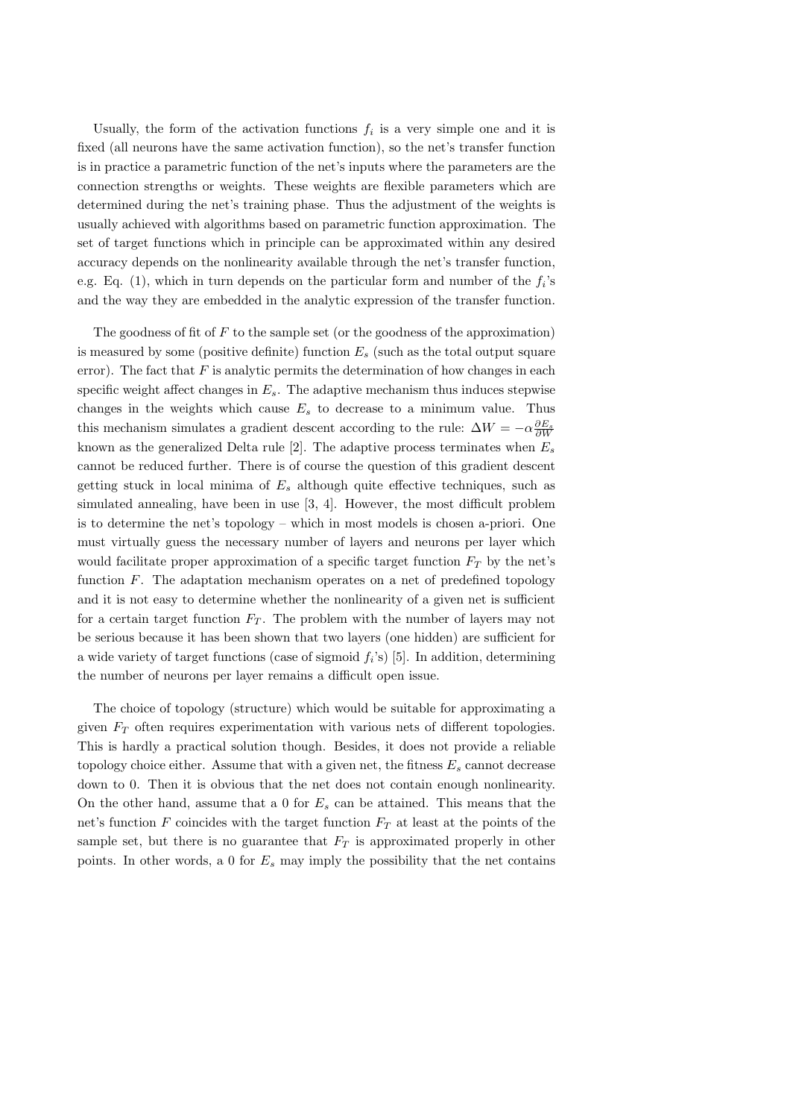Usually, the form of the activation functions  $f_i$  is a very simple one and it is fixed (all neurons have the same activation function), so the net's transfer function is in practice a parametric function of the net's inputs where the parameters are the connection strengths or weights. These weights are flexible parameters which are determined during the net's training phase. Thus the adjustment of the weights is usually achieved with algorithms based on parametric function approximation. The set of target functions which in principle can be approximated within any desired accuracy depends on the nonlinearity available through the net's transfer function, e.g. Eq. (1), which in turn depends on the particular form and number of the  $f_i$ 's and the way they are embedded in the analytic expression of the transfer function.

The goodness of fit of  $F$  to the sample set (or the goodness of the approximation) is measured by some (positive definite) function  $E<sub>s</sub>$  (such as the total output square error). The fact that  $F$  is analytic permits the determination of how changes in each specific weight affect changes in  $E_s$ . The adaptive mechanism thus induces stepwise changes in the weights which cause  $E_s$  to decrease to a minimum value. Thus this mechanism simulates a gradient descent according to the rule:  $\Delta W = -\alpha \frac{\partial E_s}{\partial W}$ known as the generalized Delta rule [2]. The adaptive process terminates when  $E_s$ cannot be reduced further. There is of course the question of this gradient descent getting stuck in local minima of  $E_s$  although quite effective techniques, such as simulated annealing, have been in use [3, 4]. However, the most difficult problem is to determine the net's topology – which in most models is chosen a-priori. One must virtually guess the necessary number of layers and neurons per layer which would facilitate proper approximation of a specific target function  $F_T$  by the net's function F. The adaptation mechanism operates on a net of predefined topology and it is not easy to determine whether the nonlinearity of a given net is sufficient for a certain target function  $F_T$ . The problem with the number of layers may not be serious because it has been shown that two layers (one hidden) are sufficient for a wide variety of target functions (case of sigmoid  $f_i$ 's) [5]. In addition, determining the number of neurons per layer remains a difficult open issue.

The choice of topology (structure) which would be suitable for approximating a given  $F_T$  often requires experimentation with various nets of different topologies. This is hardly a practical solution though. Besides, it does not provide a reliable topology choice either. Assume that with a given net, the fitness  $E_s$  cannot decrease down to 0. Then it is obvious that the net does not contain enough nonlinearity. On the other hand, assume that a 0 for  $E_s$  can be attained. This means that the net's function F coincides with the target function  $F<sub>T</sub>$  at least at the points of the sample set, but there is no guarantee that  $F_T$  is approximated properly in other points. In other words, a 0 for  $E_s$  may imply the possibility that the net contains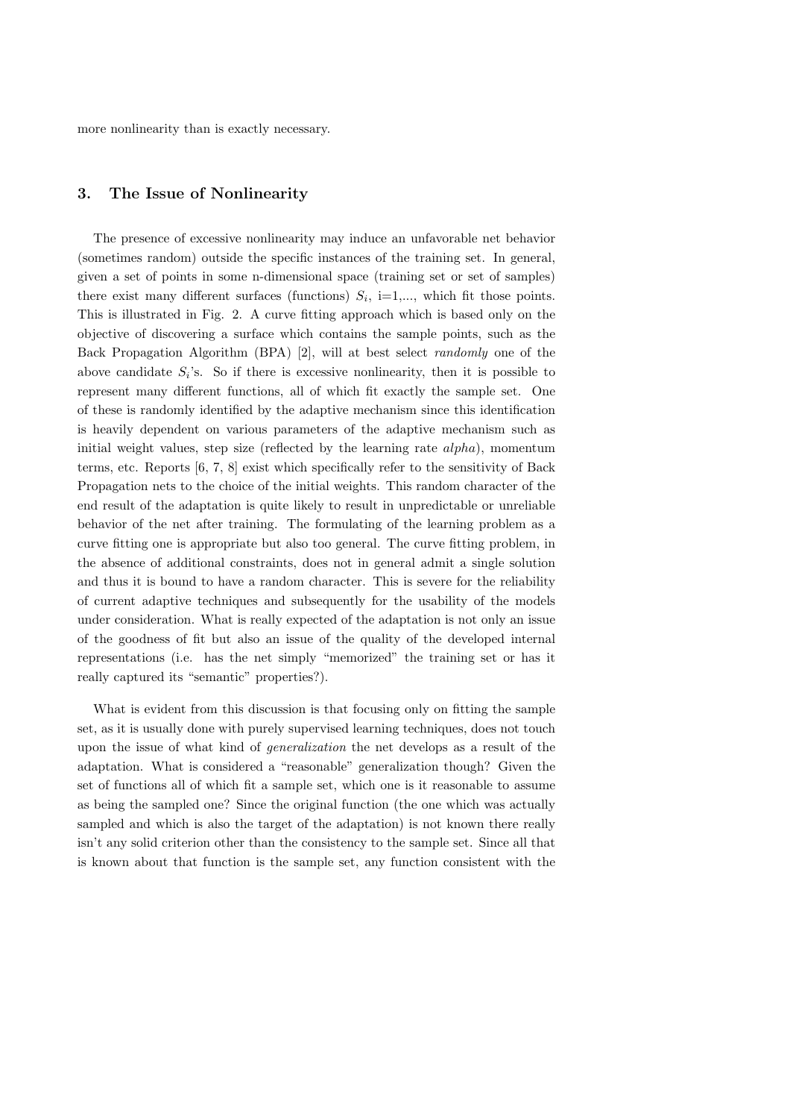more nonlinearity than is exactly necessary.

## 3. The Issue of Nonlinearity

The presence of excessive nonlinearity may induce an unfavorable net behavior (sometimes random) outside the specific instances of the training set. In general, given a set of points in some n-dimensional space (training set or set of samples) there exist many different surfaces (functions)  $S_i$ , i=1,..., which fit those points. This is illustrated in Fig. 2. A curve fitting approach which is based only on the objective of discovering a surface which contains the sample points, such as the Back Propagation Algorithm (BPA) [2], will at best select randomly one of the above candidate  $S_i$ 's. So if there is excessive nonlinearity, then it is possible to represent many different functions, all of which fit exactly the sample set. One of these is randomly identified by the adaptive mechanism since this identification is heavily dependent on various parameters of the adaptive mechanism such as initial weight values, step size (reflected by the learning rate  $\alpha$ l $ph\alpha$ ), momentum terms, etc. Reports [6, 7, 8] exist which specifically refer to the sensitivity of Back Propagation nets to the choice of the initial weights. This random character of the end result of the adaptation is quite likely to result in unpredictable or unreliable behavior of the net after training. The formulating of the learning problem as a curve fitting one is appropriate but also too general. The curve fitting problem, in the absence of additional constraints, does not in general admit a single solution and thus it is bound to have a random character. This is severe for the reliability of current adaptive techniques and subsequently for the usability of the models under consideration. What is really expected of the adaptation is not only an issue of the goodness of fit but also an issue of the quality of the developed internal representations (i.e. has the net simply "memorized" the training set or has it really captured its "semantic" properties?).

What is evident from this discussion is that focusing only on fitting the sample set, as it is usually done with purely supervised learning techniques, does not touch upon the issue of what kind of generalization the net develops as a result of the adaptation. What is considered a "reasonable" generalization though? Given the set of functions all of which fit a sample set, which one is it reasonable to assume as being the sampled one? Since the original function (the one which was actually sampled and which is also the target of the adaptation) is not known there really isn't any solid criterion other than the consistency to the sample set. Since all that is known about that function is the sample set, any function consistent with the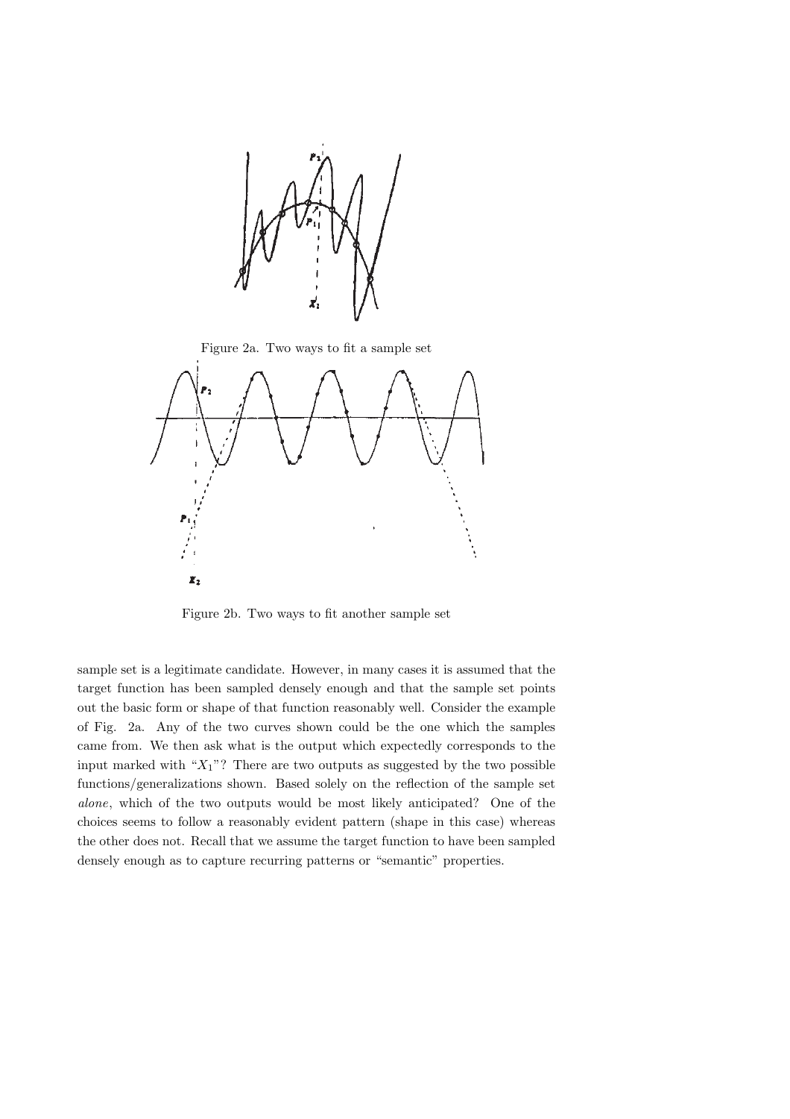

Figure 2a. Two ways to fit a sample set



Figure 2b. Two ways to fit another sample set

sample set is a legitimate candidate. However, in many cases it is assumed that the target function has been sampled densely enough and that the sample set points out the basic form or shape of that function reasonably well. Consider the example of Fig. 2a. Any of the two curves shown could be the one which the samples came from. We then ask what is the output which expectedly corresponds to the input marked with " $X_1$ "? There are two outputs as suggested by the two possible functions/generalizations shown. Based solely on the reflection of the sample set alone, which of the two outputs would be most likely anticipated? One of the choices seems to follow a reasonably evident pattern (shape in this case) whereas the other does not. Recall that we assume the target function to have been sampled densely enough as to capture recurring patterns or "semantic" properties.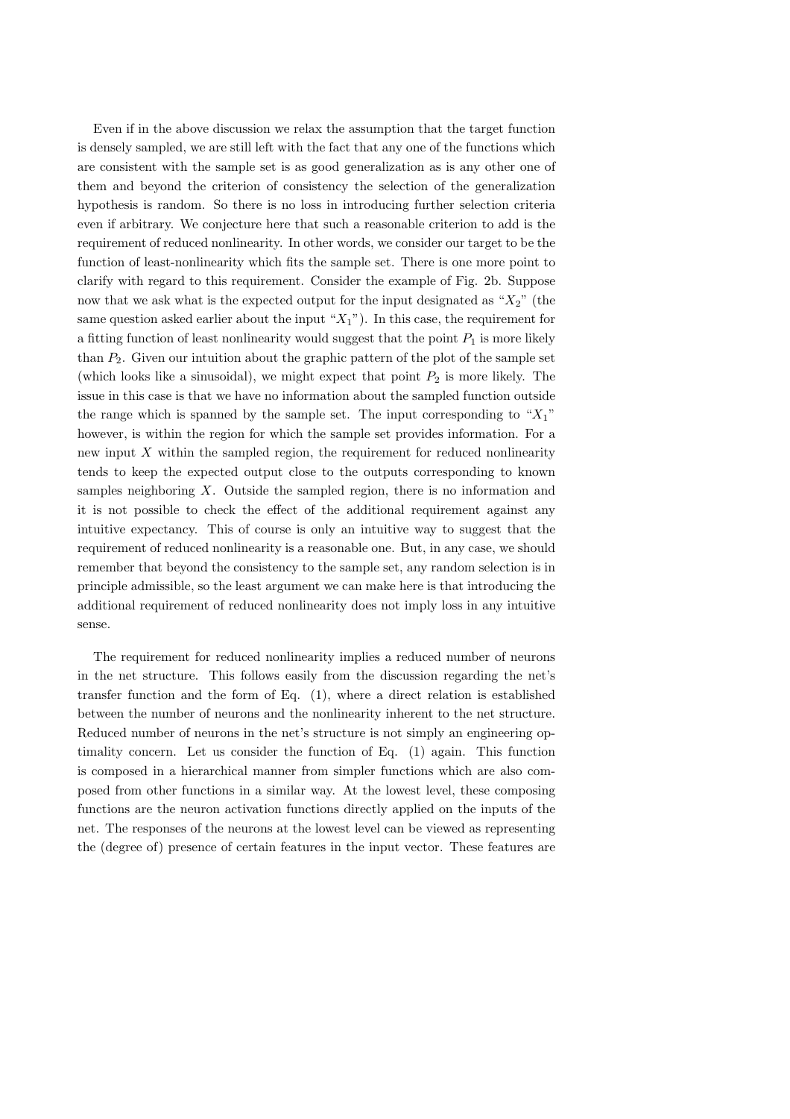Even if in the above discussion we relax the assumption that the target function is densely sampled, we are still left with the fact that any one of the functions which are consistent with the sample set is as good generalization as is any other one of them and beyond the criterion of consistency the selection of the generalization hypothesis is random. So there is no loss in introducing further selection criteria even if arbitrary. We conjecture here that such a reasonable criterion to add is the requirement of reduced nonlinearity. In other words, we consider our target to be the function of least-nonlinearity which fits the sample set. There is one more point to clarify with regard to this requirement. Consider the example of Fig. 2b. Suppose now that we ask what is the expected output for the input designated as " $X_2$ " (the same question asked earlier about the input " $X_1$ "). In this case, the requirement for a fitting function of least nonlinearity would suggest that the point  $P_1$  is more likely than  $P_2$ . Given our intuition about the graphic pattern of the plot of the sample set (which looks like a sinusoidal), we might expect that point  $P_2$  is more likely. The issue in this case is that we have no information about the sampled function outside the range which is spanned by the sample set. The input corresponding to  $"X_1"$ however, is within the region for which the sample set provides information. For a new input  $X$  within the sampled region, the requirement for reduced nonlinearity tends to keep the expected output close to the outputs corresponding to known samples neighboring X. Outside the sampled region, there is no information and it is not possible to check the effect of the additional requirement against any intuitive expectancy. This of course is only an intuitive way to suggest that the requirement of reduced nonlinearity is a reasonable one. But, in any case, we should remember that beyond the consistency to the sample set, any random selection is in principle admissible, so the least argument we can make here is that introducing the additional requirement of reduced nonlinearity does not imply loss in any intuitive sense.

The requirement for reduced nonlinearity implies a reduced number of neurons in the net structure. This follows easily from the discussion regarding the net's transfer function and the form of Eq. (1), where a direct relation is established between the number of neurons and the nonlinearity inherent to the net structure. Reduced number of neurons in the net's structure is not simply an engineering optimality concern. Let us consider the function of Eq. (1) again. This function is composed in a hierarchical manner from simpler functions which are also composed from other functions in a similar way. At the lowest level, these composing functions are the neuron activation functions directly applied on the inputs of the net. The responses of the neurons at the lowest level can be viewed as representing the (degree of) presence of certain features in the input vector. These features are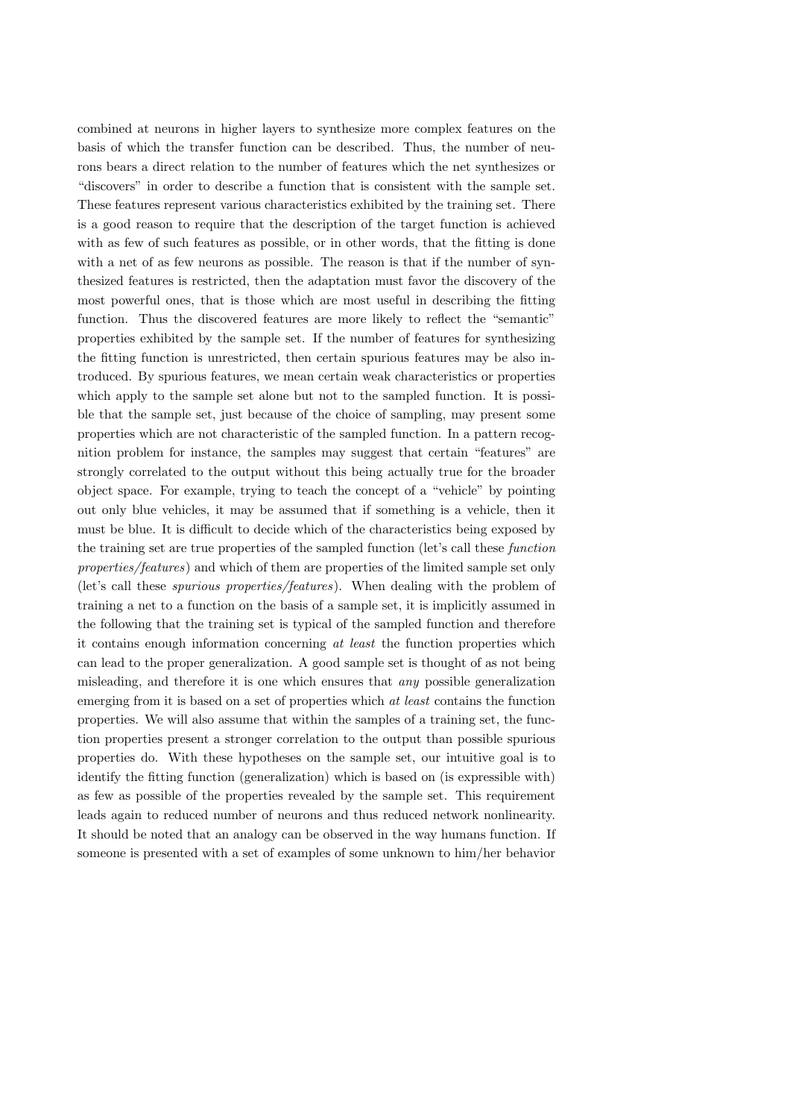combined at neurons in higher layers to synthesize more complex features on the basis of which the transfer function can be described. Thus, the number of neurons bears a direct relation to the number of features which the net synthesizes or "discovers" in order to describe a function that is consistent with the sample set. These features represent various characteristics exhibited by the training set. There is a good reason to require that the description of the target function is achieved with as few of such features as possible, or in other words, that the fitting is done with a net of as few neurons as possible. The reason is that if the number of synthesized features is restricted, then the adaptation must favor the discovery of the most powerful ones, that is those which are most useful in describing the fitting function. Thus the discovered features are more likely to reflect the "semantic" properties exhibited by the sample set. If the number of features for synthesizing the fitting function is unrestricted, then certain spurious features may be also introduced. By spurious features, we mean certain weak characteristics or properties which apply to the sample set alone but not to the sampled function. It is possible that the sample set, just because of the choice of sampling, may present some properties which are not characteristic of the sampled function. In a pattern recognition problem for instance, the samples may suggest that certain "features" are strongly correlated to the output without this being actually true for the broader object space. For example, trying to teach the concept of a "vehicle" by pointing out only blue vehicles, it may be assumed that if something is a vehicle, then it must be blue. It is difficult to decide which of the characteristics being exposed by the training set are true properties of the sampled function (let's call these function properties/features) and which of them are properties of the limited sample set only (let's call these spurious properties/features). When dealing with the problem of training a net to a function on the basis of a sample set, it is implicitly assumed in the following that the training set is typical of the sampled function and therefore it contains enough information concerning at least the function properties which can lead to the proper generalization. A good sample set is thought of as not being misleading, and therefore it is one which ensures that any possible generalization emerging from it is based on a set of properties which at least contains the function properties. We will also assume that within the samples of a training set, the function properties present a stronger correlation to the output than possible spurious properties do. With these hypotheses on the sample set, our intuitive goal is to identify the fitting function (generalization) which is based on (is expressible with) as few as possible of the properties revealed by the sample set. This requirement leads again to reduced number of neurons and thus reduced network nonlinearity. It should be noted that an analogy can be observed in the way humans function. If someone is presented with a set of examples of some unknown to him/her behavior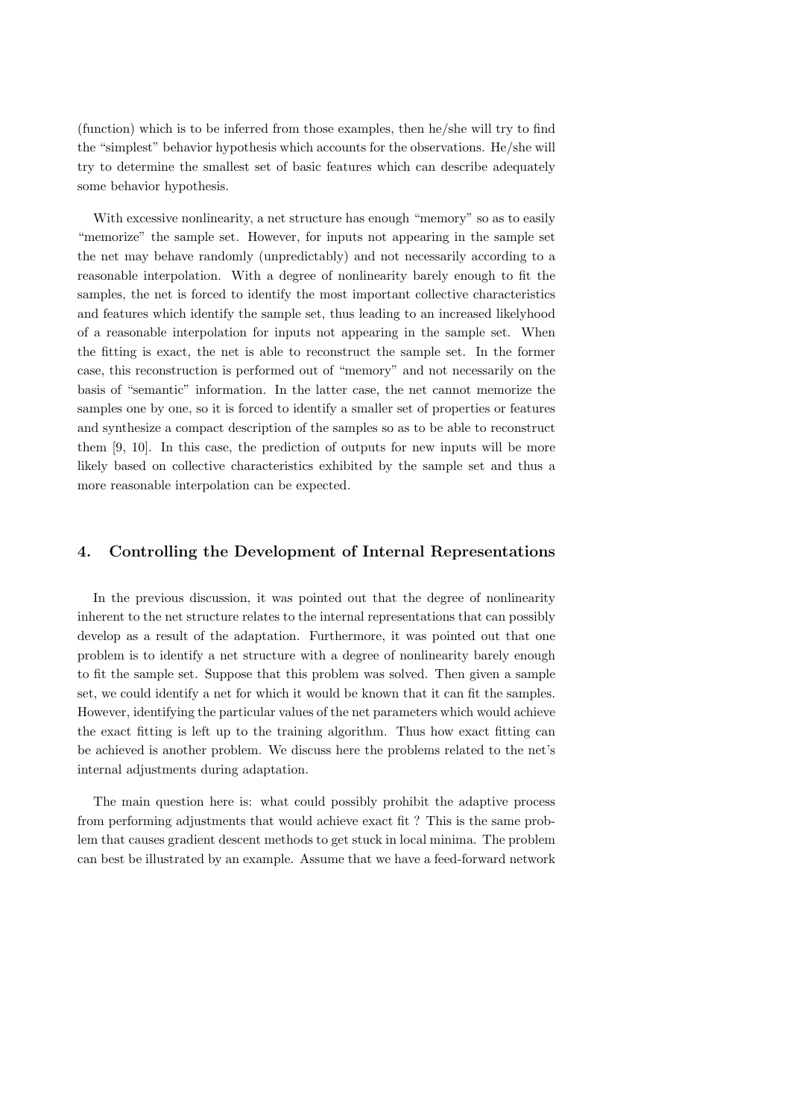(function) which is to be inferred from those examples, then he/she will try to find the "simplest" behavior hypothesis which accounts for the observations. He/she will try to determine the smallest set of basic features which can describe adequately some behavior hypothesis.

With excessive nonlinearity, a net structure has enough "memory" so as to easily "memorize" the sample set. However, for inputs not appearing in the sample set the net may behave randomly (unpredictably) and not necessarily according to a reasonable interpolation. With a degree of nonlinearity barely enough to fit the samples, the net is forced to identify the most important collective characteristics and features which identify the sample set, thus leading to an increased likelyhood of a reasonable interpolation for inputs not appearing in the sample set. When the fitting is exact, the net is able to reconstruct the sample set. In the former case, this reconstruction is performed out of "memory" and not necessarily on the basis of "semantic" information. In the latter case, the net cannot memorize the samples one by one, so it is forced to identify a smaller set of properties or features and synthesize a compact description of the samples so as to be able to reconstruct them [9, 10]. In this case, the prediction of outputs for new inputs will be more likely based on collective characteristics exhibited by the sample set and thus a more reasonable interpolation can be expected.

#### 4. Controlling the Development of Internal Representations

In the previous discussion, it was pointed out that the degree of nonlinearity inherent to the net structure relates to the internal representations that can possibly develop as a result of the adaptation. Furthermore, it was pointed out that one problem is to identify a net structure with a degree of nonlinearity barely enough to fit the sample set. Suppose that this problem was solved. Then given a sample set, we could identify a net for which it would be known that it can fit the samples. However, identifying the particular values of the net parameters which would achieve the exact fitting is left up to the training algorithm. Thus how exact fitting can be achieved is another problem. We discuss here the problems related to the net's internal adjustments during adaptation.

The main question here is: what could possibly prohibit the adaptive process from performing adjustments that would achieve exact fit ? This is the same problem that causes gradient descent methods to get stuck in local minima. The problem can best be illustrated by an example. Assume that we have a feed-forward network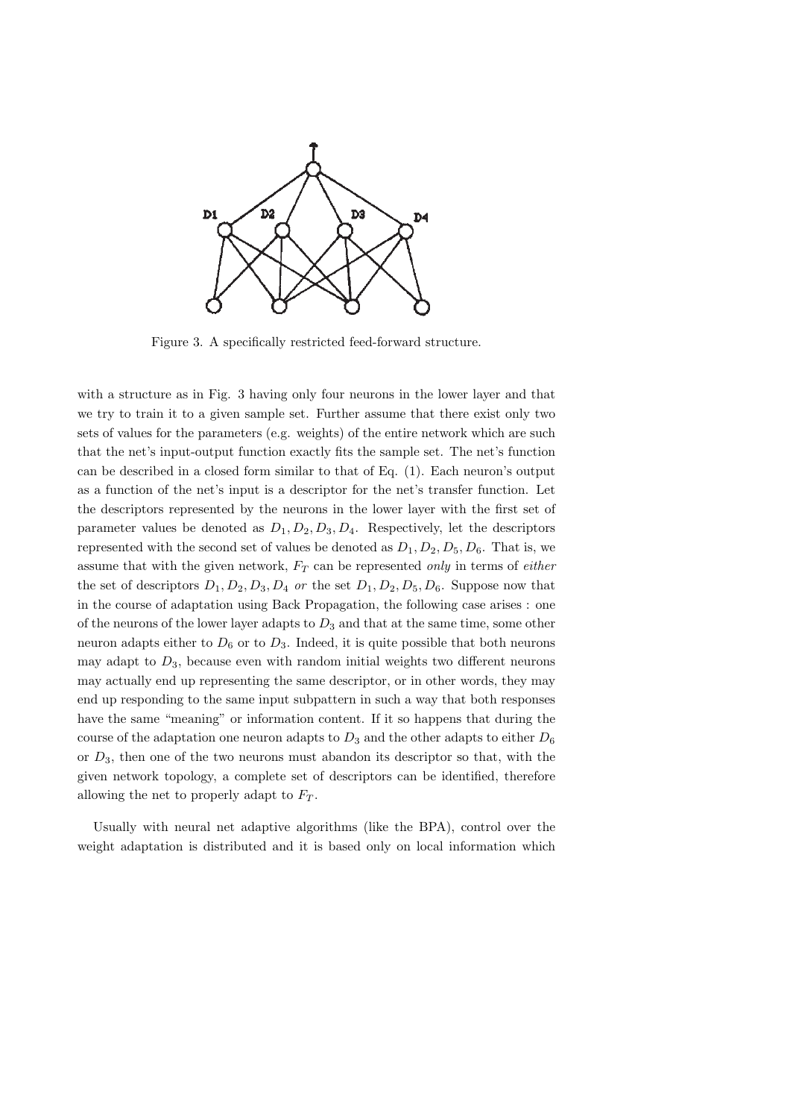

Figure 3. A specifically restricted feed-forward structure.

with a structure as in Fig. 3 having only four neurons in the lower layer and that we try to train it to a given sample set. Further assume that there exist only two sets of values for the parameters (e.g. weights) of the entire network which are such that the net's input-output function exactly fits the sample set. The net's function can be described in a closed form similar to that of Eq. (1). Each neuron's output as a function of the net's input is a descriptor for the net's transfer function. Let the descriptors represented by the neurons in the lower layer with the first set of parameter values be denoted as  $D_1, D_2, D_3, D_4$ . Respectively, let the descriptors represented with the second set of values be denoted as  $D_1, D_2, D_5, D_6$ . That is, we assume that with the given network,  $F_T$  can be represented only in terms of either the set of descriptors  $D_1, D_2, D_3, D_4$  or the set  $D_1, D_2, D_5, D_6$ . Suppose now that in the course of adaptation using Back Propagation, the following case arises : one of the neurons of the lower layer adapts to  $D_3$  and that at the same time, some other neuron adapts either to  $D_6$  or to  $D_3$ . Indeed, it is quite possible that both neurons may adapt to  $D_3$ , because even with random initial weights two different neurons may actually end up representing the same descriptor, or in other words, they may end up responding to the same input subpattern in such a way that both responses have the same "meaning" or information content. If it so happens that during the course of the adaptation one neuron adapts to  $D_3$  and the other adapts to either  $D_6$ or  $D_3$ , then one of the two neurons must abandon its descriptor so that, with the given network topology, a complete set of descriptors can be identified, therefore allowing the net to properly adapt to  $F_T$ .

Usually with neural net adaptive algorithms (like the BPA), control over the weight adaptation is distributed and it is based only on local information which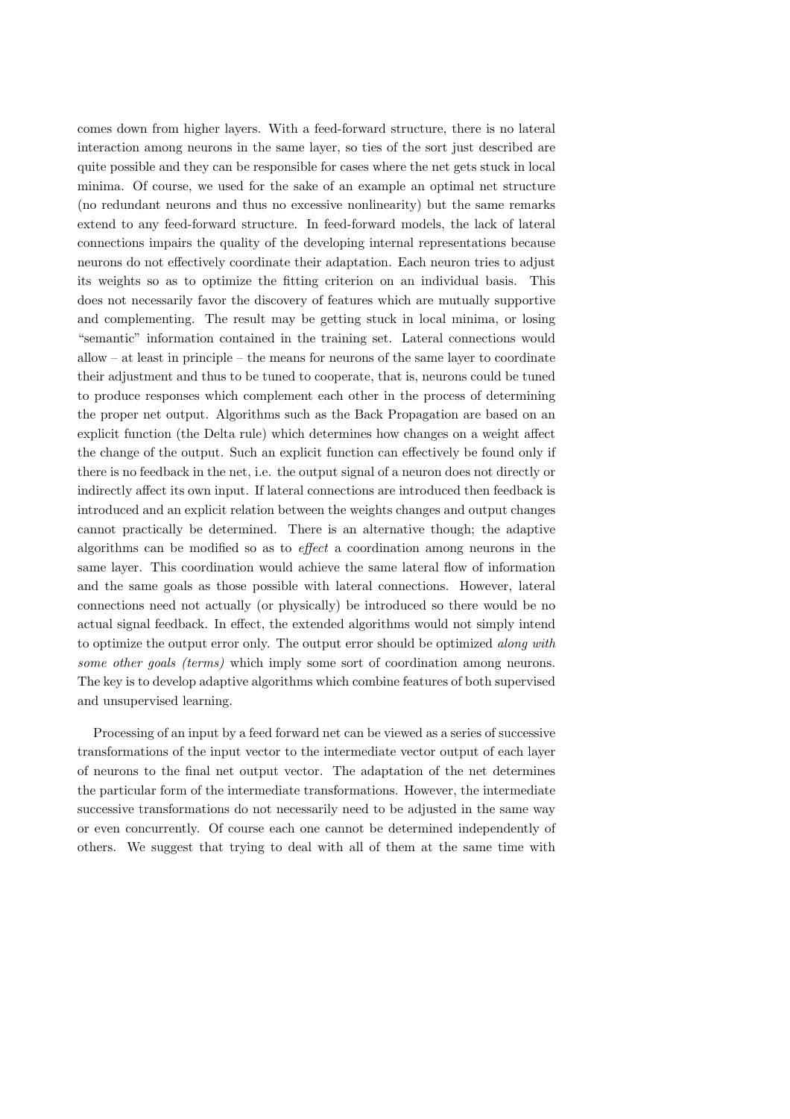comes down from higher layers. With a feed-forward structure, there is no lateral interaction among neurons in the same layer, so ties of the sort just described are quite possible and they can be responsible for cases where the net gets stuck in local minima. Of course, we used for the sake of an example an optimal net structure (no redundant neurons and thus no excessive nonlinearity) but the same remarks extend to any feed-forward structure. In feed-forward models, the lack of lateral connections impairs the quality of the developing internal representations because neurons do not effectively coordinate their adaptation. Each neuron tries to adjust its weights so as to optimize the fitting criterion on an individual basis. This does not necessarily favor the discovery of features which are mutually supportive and complementing. The result may be getting stuck in local minima, or losing "semantic" information contained in the training set. Lateral connections would allow – at least in principle – the means for neurons of the same layer to coordinate their adjustment and thus to be tuned to cooperate, that is, neurons could be tuned to produce responses which complement each other in the process of determining the proper net output. Algorithms such as the Back Propagation are based on an explicit function (the Delta rule) which determines how changes on a weight affect the change of the output. Such an explicit function can effectively be found only if there is no feedback in the net, i.e. the output signal of a neuron does not directly or indirectly affect its own input. If lateral connections are introduced then feedback is introduced and an explicit relation between the weights changes and output changes cannot practically be determined. There is an alternative though; the adaptive algorithms can be modified so as to effect a coordination among neurons in the same layer. This coordination would achieve the same lateral flow of information and the same goals as those possible with lateral connections. However, lateral connections need not actually (or physically) be introduced so there would be no actual signal feedback. In effect, the extended algorithms would not simply intend to optimize the output error only. The output error should be optimized along with some other goals (terms) which imply some sort of coordination among neurons. The key is to develop adaptive algorithms which combine features of both supervised and unsupervised learning.

Processing of an input by a feed forward net can be viewed as a series of successive transformations of the input vector to the intermediate vector output of each layer of neurons to the final net output vector. The adaptation of the net determines the particular form of the intermediate transformations. However, the intermediate successive transformations do not necessarily need to be adjusted in the same way or even concurrently. Of course each one cannot be determined independently of others. We suggest that trying to deal with all of them at the same time with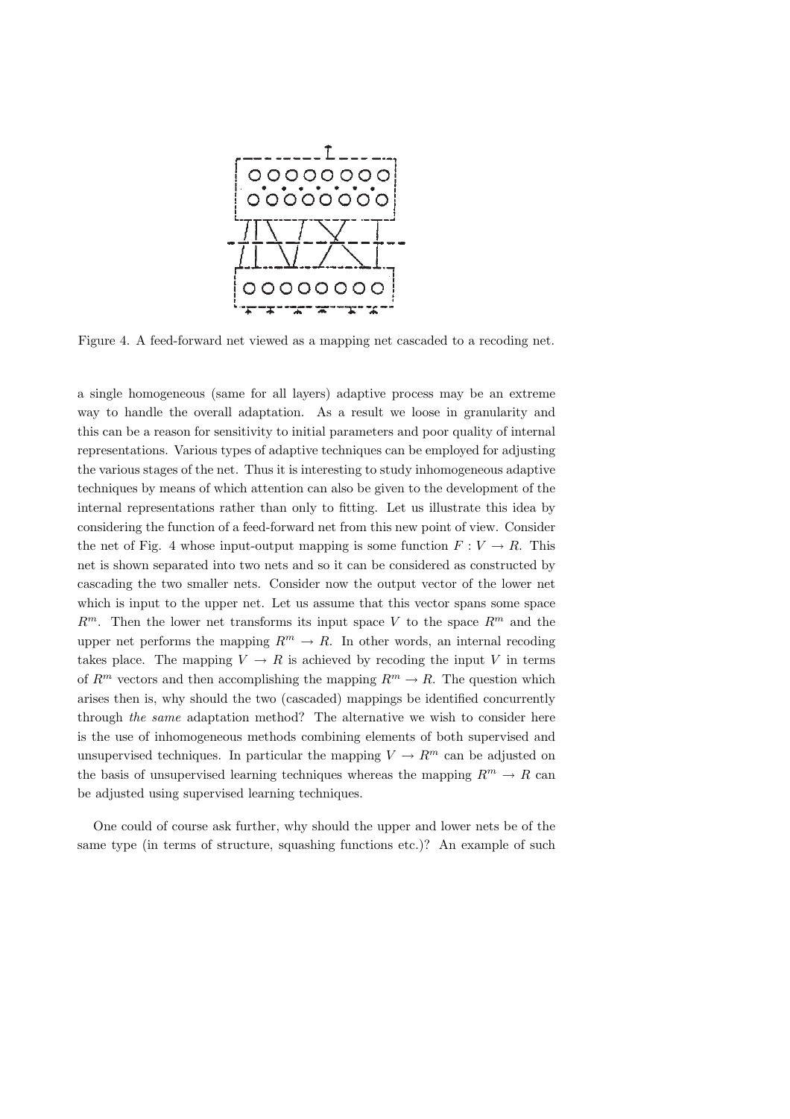

Figure 4. A feed-forward net viewed as a mapping net cascaded to a recoding net.

a single homogeneous (same for all layers) adaptive process may be an extreme way to handle the overall adaptation. As a result we loose in granularity and this can be a reason for sensitivity to initial parameters and poor quality of internal representations. Various types of adaptive techniques can be employed for adjusting the various stages of the net. Thus it is interesting to study inhomogeneous adaptive techniques by means of which attention can also be given to the development of the internal representations rather than only to fitting. Let us illustrate this idea by considering the function of a feed-forward net from this new point of view. Consider the net of Fig. 4 whose input-output mapping is some function  $F: V \to R$ . This net is shown separated into two nets and so it can be considered as constructed by cascading the two smaller nets. Consider now the output vector of the lower net which is input to the upper net. Let us assume that this vector spans some space  $R^m$ . Then the lower net transforms its input space V to the space  $R^m$  and the upper net performs the mapping  $R^m \to R$ . In other words, an internal recoding takes place. The mapping  $V \to R$  is achieved by recoding the input V in terms of  $R^m$  vectors and then accomplishing the mapping  $R^m \to R$ . The question which arises then is, why should the two (cascaded) mappings be identified concurrently through the same adaptation method? The alternative we wish to consider here is the use of inhomogeneous methods combining elements of both supervised and unsupervised techniques. In particular the mapping  $V \to R^m$  can be adjusted on the basis of unsupervised learning techniques whereas the mapping  $R^m \to R$  can be adjusted using supervised learning techniques.

One could of course ask further, why should the upper and lower nets be of the same type (in terms of structure, squashing functions etc.)? An example of such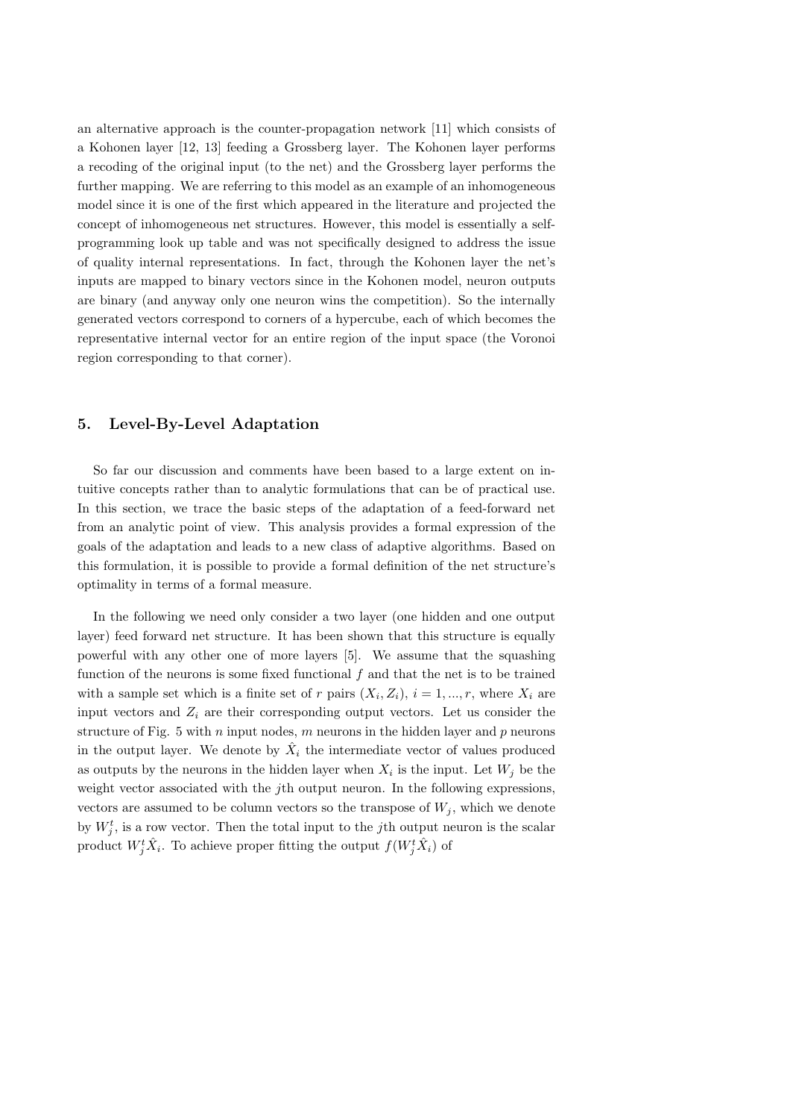an alternative approach is the counter-propagation network [11] which consists of a Kohonen layer [12, 13] feeding a Grossberg layer. The Kohonen layer performs a recoding of the original input (to the net) and the Grossberg layer performs the further mapping. We are referring to this model as an example of an inhomogeneous model since it is one of the first which appeared in the literature and projected the concept of inhomogeneous net structures. However, this model is essentially a selfprogramming look up table and was not specifically designed to address the issue of quality internal representations. In fact, through the Kohonen layer the net's inputs are mapped to binary vectors since in the Kohonen model, neuron outputs are binary (and anyway only one neuron wins the competition). So the internally generated vectors correspond to corners of a hypercube, each of which becomes the representative internal vector for an entire region of the input space (the Voronoi region corresponding to that corner).

### 5. Level-By-Level Adaptation

So far our discussion and comments have been based to a large extent on intuitive concepts rather than to analytic formulations that can be of practical use. In this section, we trace the basic steps of the adaptation of a feed-forward net from an analytic point of view. This analysis provides a formal expression of the goals of the adaptation and leads to a new class of adaptive algorithms. Based on this formulation, it is possible to provide a formal definition of the net structure's optimality in terms of a formal measure.

In the following we need only consider a two layer (one hidden and one output layer) feed forward net structure. It has been shown that this structure is equally powerful with any other one of more layers [5]. We assume that the squashing function of the neurons is some fixed functional  $f$  and that the net is to be trained with a sample set which is a finite set of r pairs  $(X_i, Z_i)$ ,  $i = 1, ..., r$ , where  $X_i$  are input vectors and  $Z_i$  are their corresponding output vectors. Let us consider the structure of Fig. 5 with  $n$  input nodes,  $m$  neurons in the hidden layer and  $p$  neurons in the output layer. We denote by  $\hat{X}_i$  the intermediate vector of values produced as outputs by the neurons in the hidden layer when  $X_i$  is the input. Let  $W_j$  be the weight vector associated with the jth output neuron. In the following expressions, vectors are assumed to be column vectors so the transpose of  $W_i$ , which we denote by  $W_j^t$ , is a row vector. Then the total input to the j<sup>th</sup> output neuron is the scalar product  $W_j^t \hat{X}_i$ . To achieve proper fitting the output  $f(W_j^t \hat{X}_i)$  of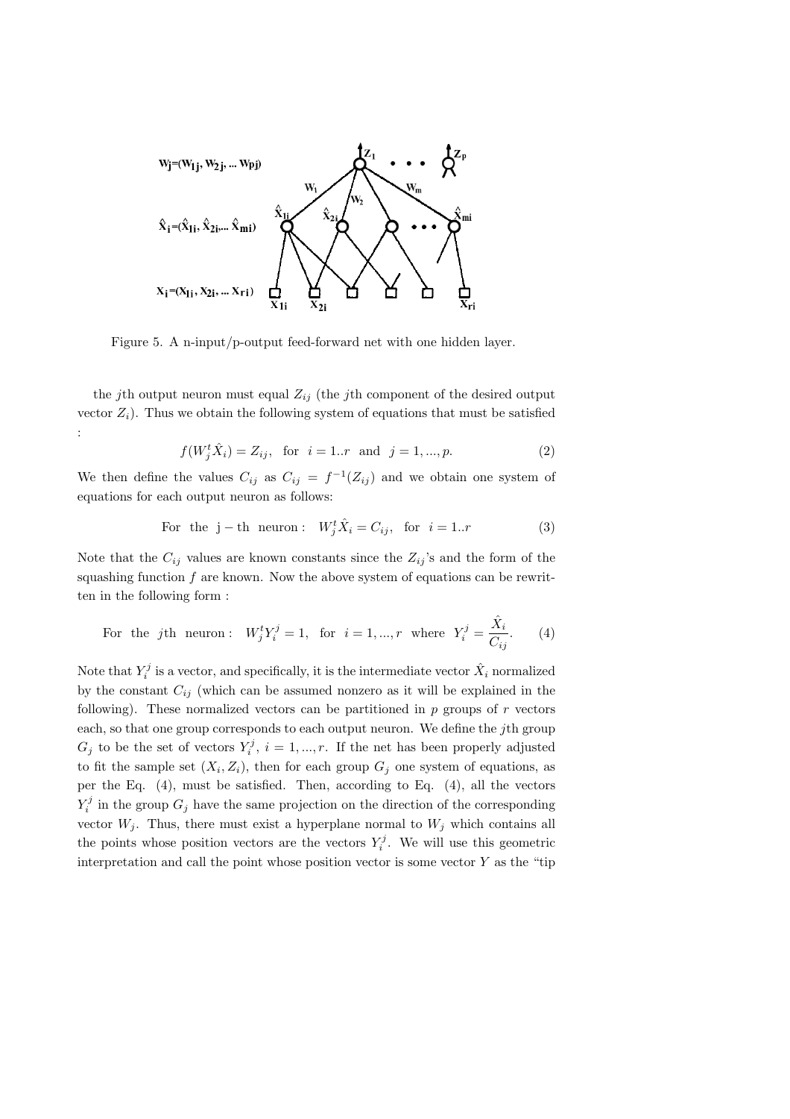

Figure 5. A n-input/p-output feed-forward net with one hidden layer.

the jth output neuron must equal  $Z_{ij}$  (the jth component of the desired output vector  $Z_i$ ). Thus we obtain the following system of equations that must be satisfied :

$$
f(W_j^t \hat{X}_i) = Z_{ij}, \text{ for } i = 1..r \text{ and } j = 1,...,p.
$$
 (2)

We then define the values  $C_{ij}$  as  $C_{ij} = f^{-1}(Z_{ij})$  and we obtain one system of equations for each output neuron as follows:

For the 
$$
j
$$
 – th neuron:  $W_j^t \hat{X}_i = C_{ij}$ , for  $i = 1..r$  (3)

Note that the  $C_{ij}$  values are known constants since the  $Z_{ij}$ 's and the form of the squashing function  $f$  are known. Now the above system of equations can be rewritten in the following form :

For the *j*th neuron: 
$$
W_j^t Y_i^j = 1
$$
, for  $i = 1, ..., r$  where  $Y_i^j = \frac{\hat{X}_i}{C_{ij}}$ . (4)

Note that  $Y_i^j$  is a vector, and specifically, it is the intermediate vector  $\hat{X}_i$  normalized by the constant  $C_{ij}$  (which can be assumed nonzero as it will be explained in the following). These normalized vectors can be partitioned in  $p$  groups of  $r$  vectors each, so that one group corresponds to each output neuron. We define the jth group  $G_j$  to be the set of vectors  $Y_i^j$ ,  $i = 1, ..., r$ . If the net has been properly adjusted to fit the sample set  $(X_i, Z_i)$ , then for each group  $G_j$  one system of equations, as per the Eq. (4), must be satisfied. Then, according to Eq. (4), all the vectors  $Y_i^j$  in the group  $G_j$  have the same projection on the direction of the corresponding vector  $W_j$ . Thus, there must exist a hyperplane normal to  $W_j$  which contains all the points whose position vectors are the vectors  $Y_i^j$ . We will use this geometric interpretation and call the point whose position vector is some vector  $Y$  as the "tip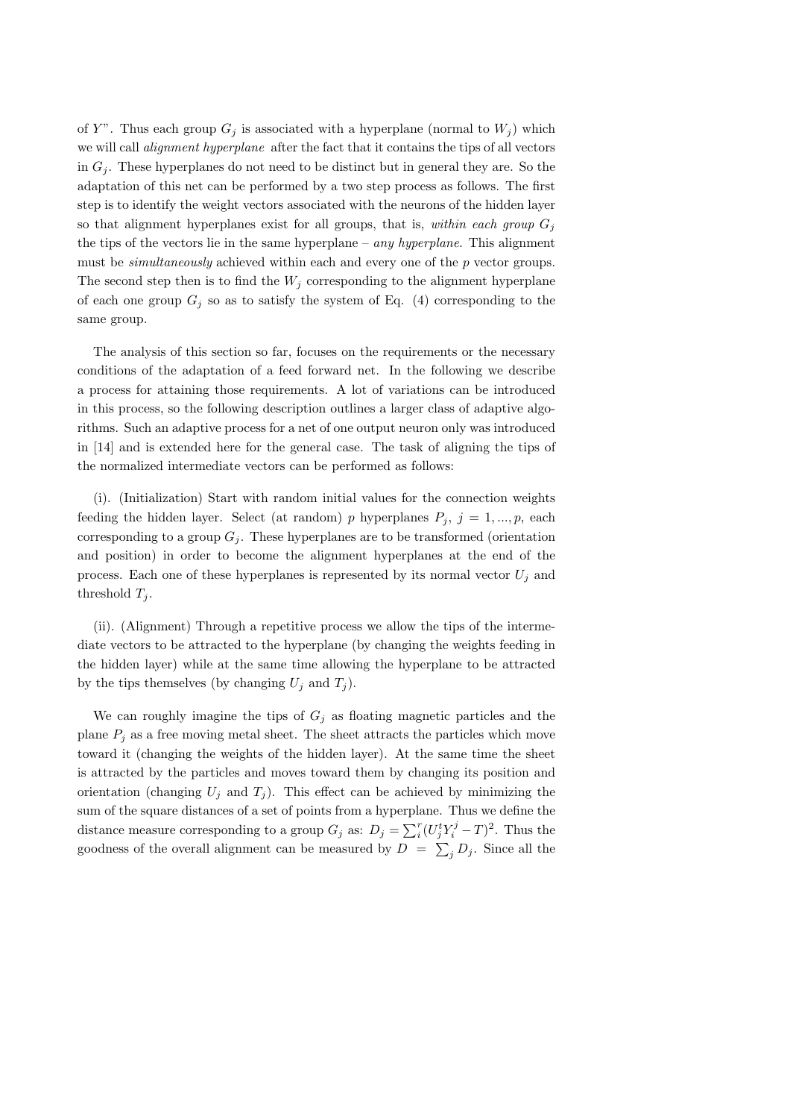of Y". Thus each group  $G_j$  is associated with a hyperplane (normal to  $W_j$ ) which we will call *alignment hyperplane* after the fact that it contains the tips of all vectors in  $G_i$ . These hyperplanes do not need to be distinct but in general they are. So the adaptation of this net can be performed by a two step process as follows. The first step is to identify the weight vectors associated with the neurons of the hidden layer so that alignment hyperplanes exist for all groups, that is, within each group  $G_i$ the tips of the vectors lie in the same hyperplane – any hyperplane. This alignment must be *simultaneously* achieved within each and every one of the  $p$  vector groups. The second step then is to find the  $W_j$  corresponding to the alignment hyperplane of each one group  $G_j$  so as to satisfy the system of Eq. (4) corresponding to the same group.

The analysis of this section so far, focuses on the requirements or the necessary conditions of the adaptation of a feed forward net. In the following we describe a process for attaining those requirements. A lot of variations can be introduced in this process, so the following description outlines a larger class of adaptive algorithms. Such an adaptive process for a net of one output neuron only was introduced in [14] and is extended here for the general case. The task of aligning the tips of the normalized intermediate vectors can be performed as follows:

(i). (Initialization) Start with random initial values for the connection weights feeding the hidden layer. Select (at random) p hyperplanes  $P_j$ ,  $j = 1, ..., p$ , each corresponding to a group  $G_i$ . These hyperplanes are to be transformed (orientation and position) in order to become the alignment hyperplanes at the end of the process. Each one of these hyperplanes is represented by its normal vector  $U_i$  and threshold  $T_j$ .

(ii). (Alignment) Through a repetitive process we allow the tips of the intermediate vectors to be attracted to the hyperplane (by changing the weights feeding in the hidden layer) while at the same time allowing the hyperplane to be attracted by the tips themselves (by changing  $U_i$  and  $T_i$ ).

We can roughly imagine the tips of  $G_j$  as floating magnetic particles and the plane  $P_i$  as a free moving metal sheet. The sheet attracts the particles which move toward it (changing the weights of the hidden layer). At the same time the sheet is attracted by the particles and moves toward them by changing its position and orientation (changing  $U_i$  and  $T_i$ ). This effect can be achieved by minimizing the sum of the square distances of a set of points from a hyperplane. Thus we define the distance measure corresponding to a group  $G_j$  as:  $D_j = \sum_i^r$  $\int_i^r (U_j^t Y_i^j - T)^2$ . Thus the goodness of the overall alignment can be measured by  $D = \sum_j D_j$ . Since all the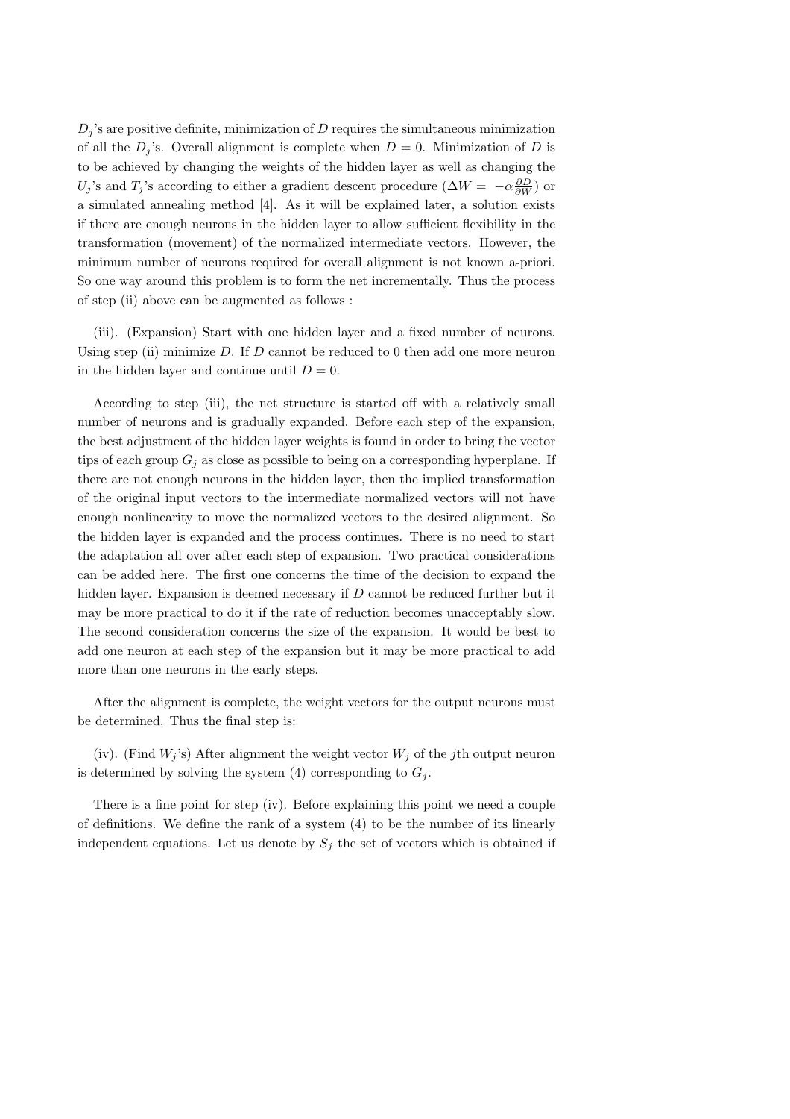$D_j$ 's are positive definite, minimization of D requires the simultaneous minimization of all the  $D_j$ 's. Overall alignment is complete when  $D = 0$ . Minimization of D is to be achieved by changing the weights of the hidden layer as well as changing the  $U_j$ 's and  $T_j$ 's according to either a gradient descent procedure  $(\Delta W = -\alpha \frac{\partial D}{\partial W})$  or a simulated annealing method [4]. As it will be explained later, a solution exists if there are enough neurons in the hidden layer to allow sufficient flexibility in the transformation (movement) of the normalized intermediate vectors. However, the minimum number of neurons required for overall alignment is not known a-priori. So one way around this problem is to form the net incrementally. Thus the process of step (ii) above can be augmented as follows :

(iii). (Expansion) Start with one hidden layer and a fixed number of neurons. Using step (ii) minimize  $D$ . If  $D$  cannot be reduced to 0 then add one more neuron in the hidden layer and continue until  $D = 0$ .

According to step (iii), the net structure is started off with a relatively small number of neurons and is gradually expanded. Before each step of the expansion, the best adjustment of the hidden layer weights is found in order to bring the vector tips of each group  $G_i$  as close as possible to being on a corresponding hyperplane. If there are not enough neurons in the hidden layer, then the implied transformation of the original input vectors to the intermediate normalized vectors will not have enough nonlinearity to move the normalized vectors to the desired alignment. So the hidden layer is expanded and the process continues. There is no need to start the adaptation all over after each step of expansion. Two practical considerations can be added here. The first one concerns the time of the decision to expand the hidden layer. Expansion is deemed necessary if D cannot be reduced further but it may be more practical to do it if the rate of reduction becomes unacceptably slow. The second consideration concerns the size of the expansion. It would be best to add one neuron at each step of the expansion but it may be more practical to add more than one neurons in the early steps.

After the alignment is complete, the weight vectors for the output neurons must be determined. Thus the final step is:

(iv). (Find  $W_j$ 's) After alignment the weight vector  $W_j$  of the jth output neuron is determined by solving the system  $(4)$  corresponding to  $G_j$ .

There is a fine point for step (iv). Before explaining this point we need a couple of definitions. We define the rank of a system (4) to be the number of its linearly independent equations. Let us denote by  $S_j$  the set of vectors which is obtained if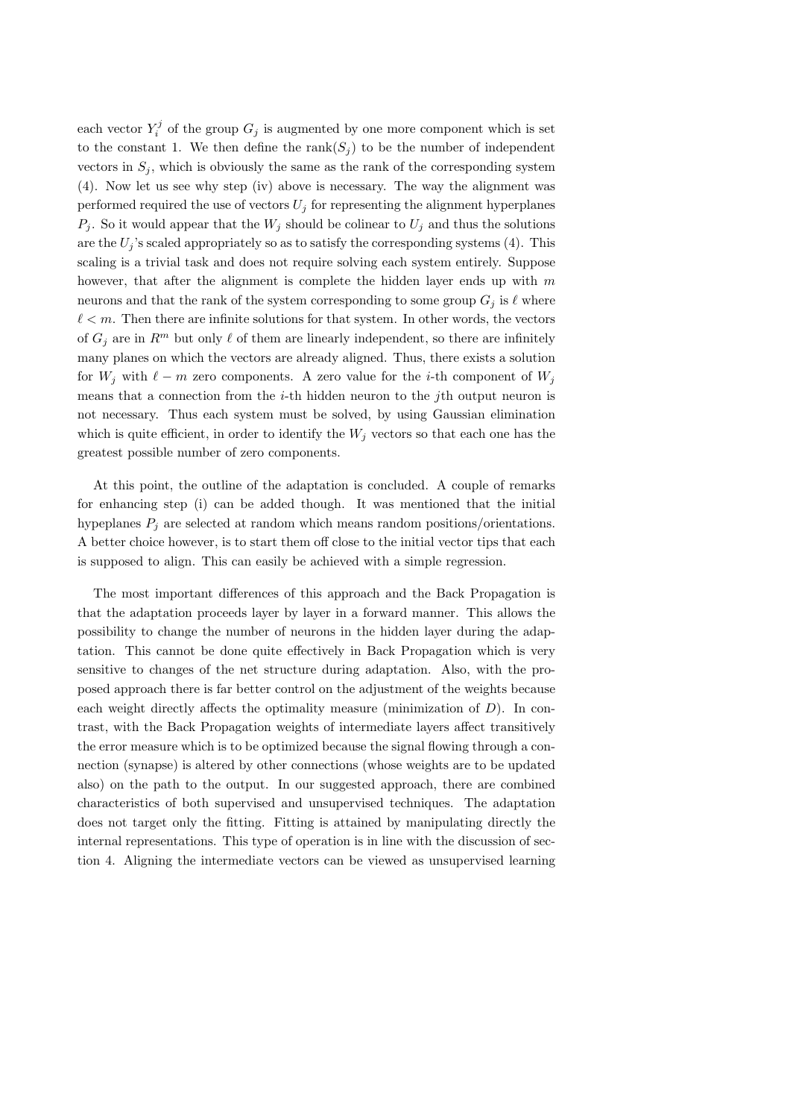each vector  $Y_i^j$  of the group  $G_j$  is augmented by one more component which is set to the constant 1. We then define the rank( $S_i$ ) to be the number of independent vectors in  $S_i$ , which is obviously the same as the rank of the corresponding system (4). Now let us see why step (iv) above is necessary. The way the alignment was performed required the use of vectors  $U_j$  for representing the alignment hyperplanes  $P_j$ . So it would appear that the  $W_j$  should be colinear to  $U_j$  and thus the solutions are the  $U_i$ 's scaled appropriately so as to satisfy the corresponding systems (4). This scaling is a trivial task and does not require solving each system entirely. Suppose however, that after the alignment is complete the hidden layer ends up with  $m$ neurons and that the rank of the system corresponding to some group  $G_i$  is  $\ell$  where  $\ell < m$ . Then there are infinite solutions for that system. In other words, the vectors of  $G_i$  are in  $\mathbb{R}^m$  but only  $\ell$  of them are linearly independent, so there are infinitely many planes on which the vectors are already aligned. Thus, there exists a solution for  $W_i$  with  $\ell - m$  zero components. A zero value for the *i*-th component of  $W_i$ means that a connection from the i-th hidden neuron to the jth output neuron is not necessary. Thus each system must be solved, by using Gaussian elimination which is quite efficient, in order to identify the  $W_j$  vectors so that each one has the greatest possible number of zero components.

At this point, the outline of the adaptation is concluded. A couple of remarks for enhancing step (i) can be added though. It was mentioned that the initial hypeplanes  $P_i$  are selected at random which means random positions/orientations. A better choice however, is to start them off close to the initial vector tips that each is supposed to align. This can easily be achieved with a simple regression.

The most important differences of this approach and the Back Propagation is that the adaptation proceeds layer by layer in a forward manner. This allows the possibility to change the number of neurons in the hidden layer during the adaptation. This cannot be done quite effectively in Back Propagation which is very sensitive to changes of the net structure during adaptation. Also, with the proposed approach there is far better control on the adjustment of the weights because each weight directly affects the optimality measure (minimization of  $D$ ). In contrast, with the Back Propagation weights of intermediate layers affect transitively the error measure which is to be optimized because the signal flowing through a connection (synapse) is altered by other connections (whose weights are to be updated also) on the path to the output. In our suggested approach, there are combined characteristics of both supervised and unsupervised techniques. The adaptation does not target only the fitting. Fitting is attained by manipulating directly the internal representations. This type of operation is in line with the discussion of section 4. Aligning the intermediate vectors can be viewed as unsupervised learning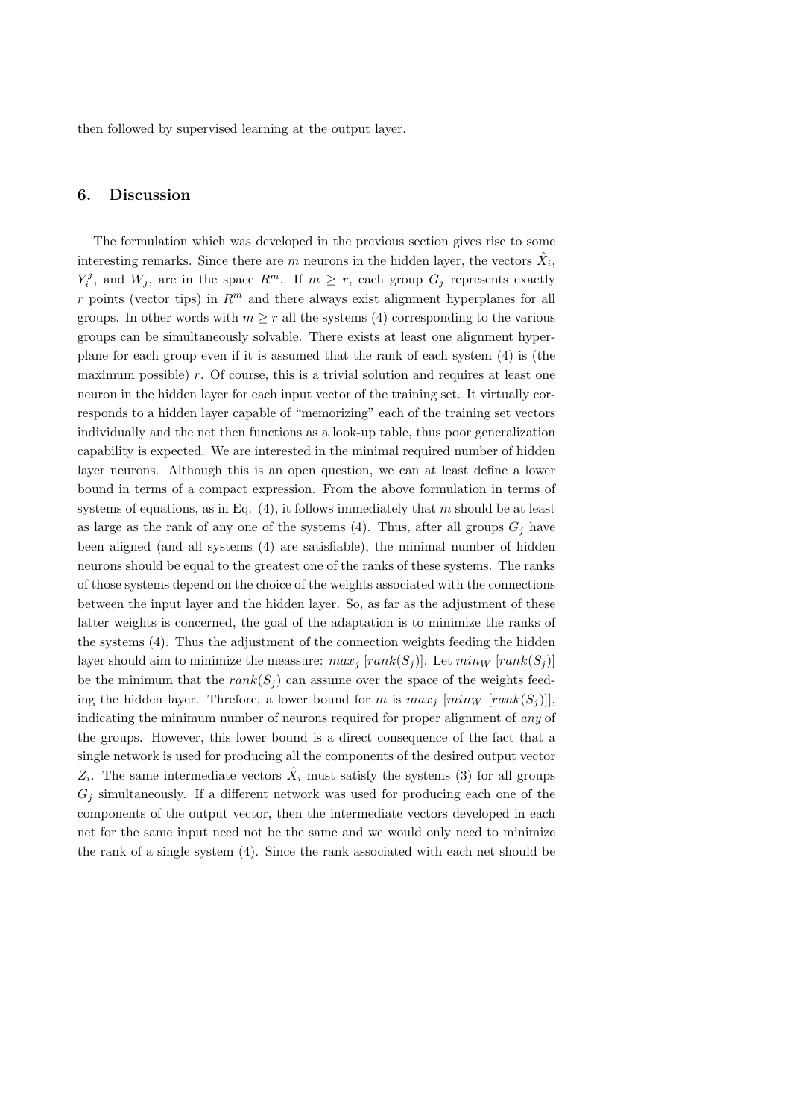then followed by supervised learning at the output layer.

# 6. Discussion

The formulation which was developed in the previous section gives rise to some interesting remarks. Since there are  $m$  neurons in the hidden layer, the vectors  $\hat{X}_i$ ,  $Y_i^j$ , and  $W_j$ , are in the space  $R^m$ . If  $m \geq r$ , each group  $G_j$  represents exactly r points (vector tips) in  $R<sup>m</sup>$  and there always exist alignment hyperplanes for all groups. In other words with  $m > r$  all the systems (4) corresponding to the various groups can be simultaneously solvable. There exists at least one alignment hyperplane for each group even if it is assumed that the rank of each system (4) is (the maximum possible) r. Of course, this is a trivial solution and requires at least one neuron in the hidden layer for each input vector of the training set. It virtually corresponds to a hidden layer capable of "memorizing" each of the training set vectors individually and the net then functions as a look-up table, thus poor generalization capability is expected. We are interested in the minimal required number of hidden layer neurons. Although this is an open question, we can at least define a lower bound in terms of a compact expression. From the above formulation in terms of systems of equations, as in Eq.  $(4)$ , it follows immediately that m should be at least as large as the rank of any one of the systems (4). Thus, after all groups  $G_i$  have been aligned (and all systems (4) are satisfiable), the minimal number of hidden neurons should be equal to the greatest one of the ranks of these systems. The ranks of those systems depend on the choice of the weights associated with the connections between the input layer and the hidden layer. So, as far as the adjustment of these latter weights is concerned, the goal of the adaptation is to minimize the ranks of the systems (4). Thus the adjustment of the connection weights feeding the hidden layer should aim to minimize the meassure:  $max_i [rank(S_i)]$ . Let  $min_W [rank(S_i)]$ be the minimum that the  $rank(S_i)$  can assume over the space of the weights feeding the hidden layer. Threfore, a lower bound for m is  $max_i$  [ $min_W$  [ $rank(S_i)$ ]], indicating the minimum number of neurons required for proper alignment of any of the groups. However, this lower bound is a direct consequence of the fact that a single network is used for producing all the components of the desired output vector  $Z_i$ . The same intermediate vectors  $\hat{X}_i$  must satisfy the systems (3) for all groups  $G_i$  simultaneously. If a different network was used for producing each one of the components of the output vector, then the intermediate vectors developed in each net for the same input need not be the same and we would only need to minimize the rank of a single system (4). Since the rank associated with each net should be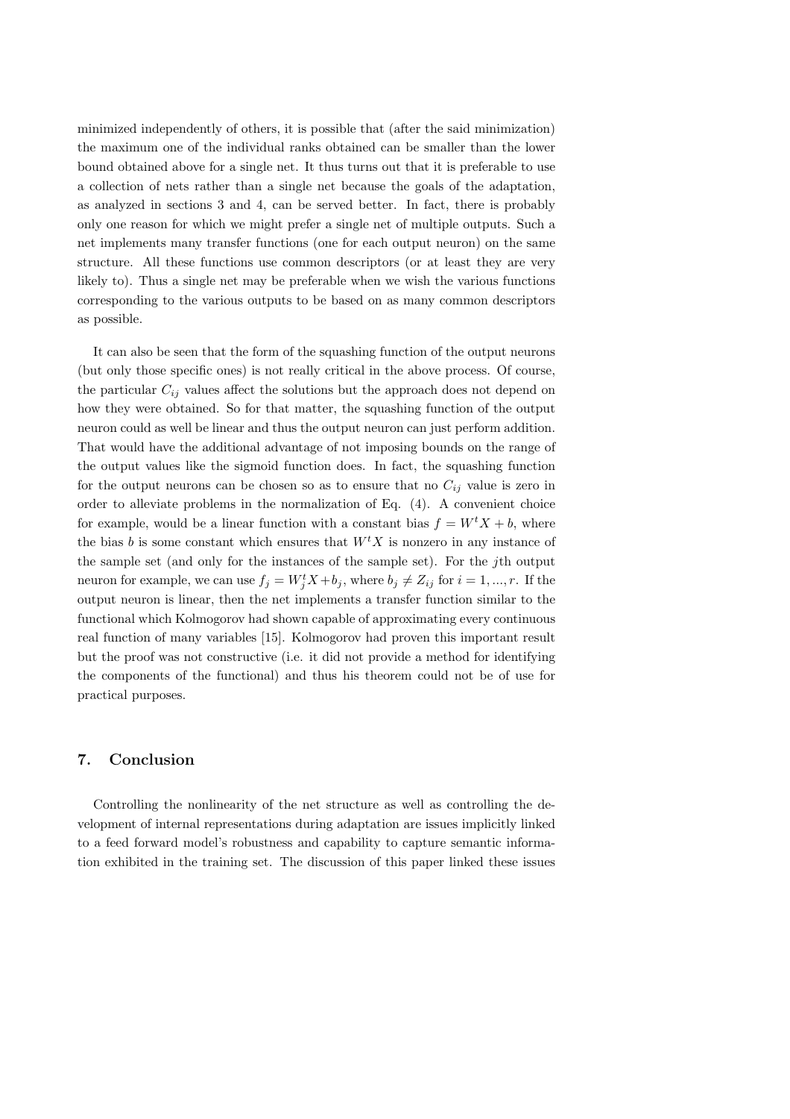minimized independently of others, it is possible that (after the said minimization) the maximum one of the individual ranks obtained can be smaller than the lower bound obtained above for a single net. It thus turns out that it is preferable to use a collection of nets rather than a single net because the goals of the adaptation, as analyzed in sections 3 and 4, can be served better. In fact, there is probably only one reason for which we might prefer a single net of multiple outputs. Such a net implements many transfer functions (one for each output neuron) on the same structure. All these functions use common descriptors (or at least they are very likely to). Thus a single net may be preferable when we wish the various functions corresponding to the various outputs to be based on as many common descriptors as possible.

It can also be seen that the form of the squashing function of the output neurons (but only those specific ones) is not really critical in the above process. Of course, the particular  $C_{ij}$  values affect the solutions but the approach does not depend on how they were obtained. So for that matter, the squashing function of the output neuron could as well be linear and thus the output neuron can just perform addition. That would have the additional advantage of not imposing bounds on the range of the output values like the sigmoid function does. In fact, the squashing function for the output neurons can be chosen so as to ensure that no  $C_{ij}$  value is zero in order to alleviate problems in the normalization of Eq. (4). A convenient choice for example, would be a linear function with a constant bias  $f = W<sup>t</sup> X + b$ , where the bias b is some constant which ensures that  $W<sup>t</sup>X$  is nonzero in any instance of the sample set (and only for the instances of the sample set). For the jth output neuron for example, we can use  $f_j = W_j^t X + b_j$ , where  $b_j \neq Z_{ij}$  for  $i = 1, ..., r$ . If the output neuron is linear, then the net implements a transfer function similar to the functional which Kolmogorov had shown capable of approximating every continuous real function of many variables [15]. Kolmogorov had proven this important result but the proof was not constructive (i.e. it did not provide a method for identifying the components of the functional) and thus his theorem could not be of use for practical purposes.

#### 7. Conclusion

Controlling the nonlinearity of the net structure as well as controlling the development of internal representations during adaptation are issues implicitly linked to a feed forward model's robustness and capability to capture semantic information exhibited in the training set. The discussion of this paper linked these issues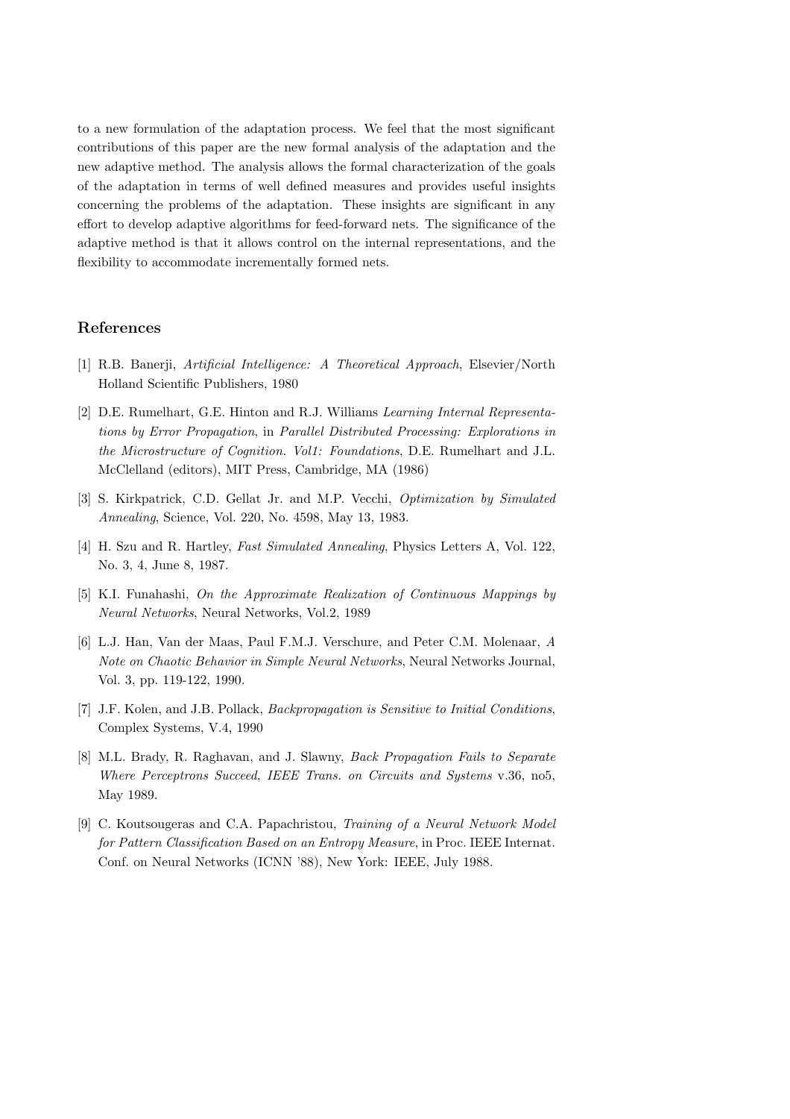to a new formulation of the adaptation process. We feel that the most significant contributions of this paper are the new formal analysis of the adaptation and the new adaptive method. The analysis allows the formal characterization of the goals of the adaptation in terms of well defined measures and provides useful insights concerning the problems of the adaptation. These insights are significant in any effort to develop adaptive algorithms for feed-forward nets. The significance of the adaptive method is that it allows control on the internal representations, and the flexibility to accommodate incrementally formed nets.

### References

- [1] R.B. Banerji, Artificial Intelligence: A Theoretical Approach, Elsevier/North Holland Scientific Publishers, 1980
- [2] D.E. Rumelhart, G.E. Hinton and R.J. Williams Learning Internal Representations by Error Propagation, in Parallel Distributed Processing: Explorations in the Microstructure of Cognition. Vol1: Foundations, D.E. Rumelhart and J.L. McClelland (editors), MIT Press, Cambridge, MA (1986)
- [3] S. Kirkpatrick, C.D. Gellat Jr. and M.P. Vecchi, Optimization by Simulated Annealing, Science, Vol. 220, No. 4598, May 13, 1983.
- [4] H. Szu and R. Hartley, Fast Simulated Annealing, Physics Letters A, Vol. 122, No. 3, 4, June 8, 1987.
- [5] K.I. Funahashi, On the Approximate Realization of Continuous Mappings by Neural Networks, Neural Networks, Vol.2, 1989
- [6] L.J. Han, Van der Maas, Paul F.M.J. Verschure, and Peter C.M. Molenaar, A Note on Chaotic Behavior in Simple Neural Networks, Neural Networks Journal, Vol. 3, pp. 119-122, 1990.
- [7] J.F. Kolen, and J.B. Pollack, Backpropagation is Sensitive to Initial Conditions, Complex Systems, V.4, 1990
- [8] M.L. Brady, R. Raghavan, and J. Slawny, Back Propagation Fails to Separate Where Perceptrons Succeed, IEEE Trans. on Circuits and Systems v.36, no5, May 1989.
- [9] C. Koutsougeras and C.A. Papachristou, Training of a Neural Network Model for Pattern Classification Based on an Entropy Measure, in Proc. IEEE Internat. Conf. on Neural Networks (ICNN '88), New York: IEEE, July 1988.